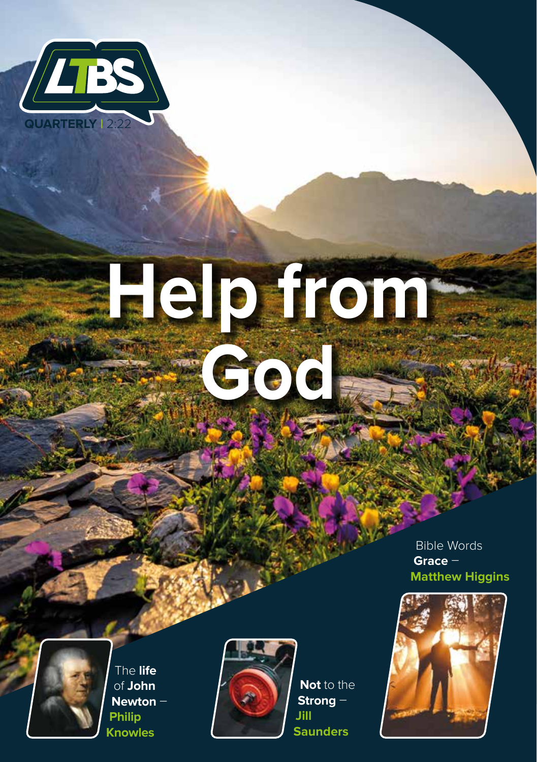

# **Help from God**

Bible Words **Grace** – **Matthew Higgins**



The **life** of **John Newton** – **Philip Knowles**



**Not** to the **Strong** – **Jill Saunders**

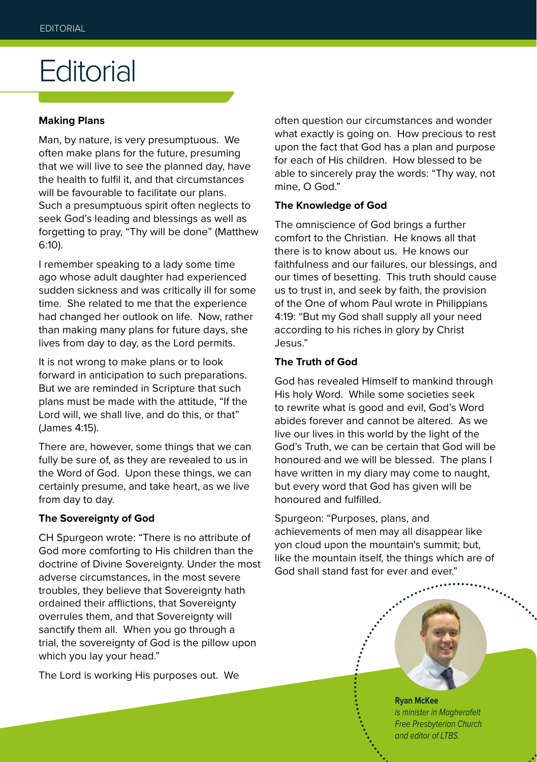### **Editorial**

#### **Making Plans**

Man, by nature, is very presumptuous. We often make plans for the future, presuming that we will live to see the planned day, have the health to fulfil it, and that circumstances will be favourable to facilitate our plans. Such a presumptuous spirit often neglects to seek God's leading and blessings as well as forgetting to pray, "Thy will be done" (Matthew 6:10).

I remember speaking to a lady some time ago whose adult daughter had experienced sudden sickness and was critically ill for some time. She related to me that the experience had changed her outlook on life. Now, rather than making many plans for future days, she lives from day to day, as the Lord permits.

It is not wrong to make plans or to look forward in anticipation to such preparations. But we are reminded in Scripture that such plans must be made with the attitude, "If the Lord will, we shall live, and do this, or that" (James 4:15).

There are, however, some things that we can fully be sure of, as they are revealed to us in the Word of God. Upon these things, we can certainly presume, and take heart, as we live from day to day.

#### **The Sovereignty of God**

CH Spurgeon wrote: "There is no attribute of God more comforting to His children than the doctrine of Divine Sovereignty. Under the most adverse circumstances, in the most severe troubles, they believe that Sovereignty hath ordained their afflictions, that Sovereignty overrules them, and that Sovereignty will sanctify them all. When you go through a trial, the sovereignty of God is the pillow upon which you lay your head."

The Lord is working His purposes out. We

often question our circumstances and wonder what exactly is going on. How precious to rest upon the fact that God has a plan and purpose for each of His children. How blessed to be able to sincerely pray the words: "Thy way, not mine, O God."

#### **The Knowledge of God**

The omniscience of God brings a further comfort to the Christian. He knows all that there is to know about us. He knows our faithfulness and our failures, our blessings, and our times of besetting. This truth should cause us to trust in, and seek by faith, the provision of the One of whom Paul wrote in Philippians 4:19: "But my God shall supply all your need according to his riches in glory by Christ Jesus."

#### **The Truth of God**

God has revealed Himself to mankind through His holy Word. While some societies seek to rewrite what is good and evil, God's Word abides forever and cannot be altered. As we live our lives in this world by the light of the God's Truth, we can be certain that God will be honoured and we will be blessed. The plans I have written in my diary may come to naught, but every word that God has given will be honoured and fulfilled.

Spurgeon: "Purposes, plans, and achievements of men may all disappear like yon cloud upon the mountain's summit; but, like the mountain itself, the things which are of God shall stand fast for ever and ever."

> **Ryan McKee** *is minister in Magherafelt Free Presbyterian Church and editor of LTBS.*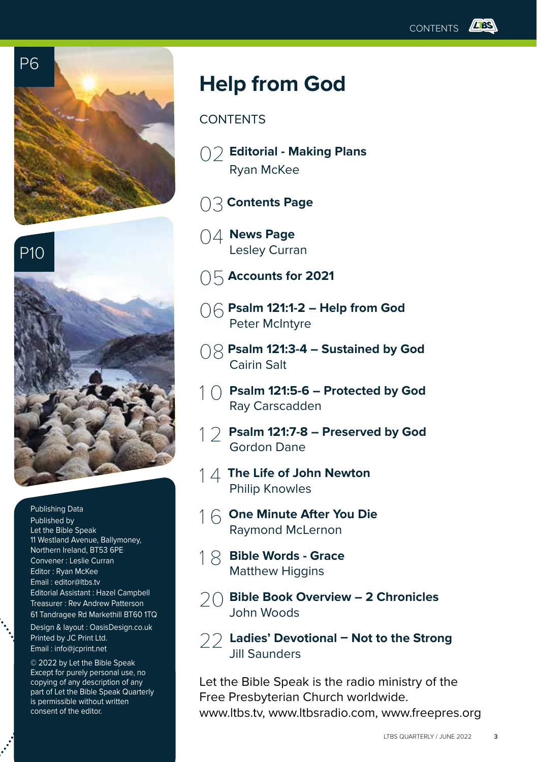



Publishing Data Published by Let the Bible Speak 11 Westland Avenue, Ballymoney, Northern Ireland, BT53 6PE Convener : Leslie Curran Editor : Ryan McKee Email : editor@ltbs.tv Editorial Assistant : Hazel Campbell Treasurer : Rev Andrew Patterson 61 Tandragee Rd Markethill BT60 1TQ

Design & layout : OasisDesign.co.uk Printed by JC Print Ltd. Email : info@jcprint.net

© 2022 by Let the Bible Speak Except for purely personal use, no copying of any description of any part of Let the Bible Speak Quarterly is permissible without written consent of the editor.

### **Help from God**

#### **CONTENTS**

- 02 **Editorial Making Plans** Ryan McKee
- 03 **Contents Page**
- 04 **News Page** Lesley Curran
- 05 **Accounts for 2021**
- 06 **Psalm 121:1-2 Help from God** Peter McIntyre
- 08 **Psalm 121:3-4 Sustained by God** Cairin Salt
- 1 0 **Psalm 121:5-6 Protected by God** Ray Carscadden
- 1 2 **Psalm 121:7-8 Preserved by God** Gordon Dane
- 1 4 **The Life of John Newton** Philip Knowles
- 1 6 **One Minute After You Die** Raymond McLernon
- 1 8 **Bible Words Grace**  Matthew Higgins
- 20 **Bible Book Overview 2 Chronicles**  John Woods
- 22 **Ladies' Devotional Not to the Strong**  Jill Saunders

Let the Bible Speak is the radio ministry of the Free Presbyterian Church worldwide. www.ltbs.tv, www.ltbsradio.com, www.freepres.org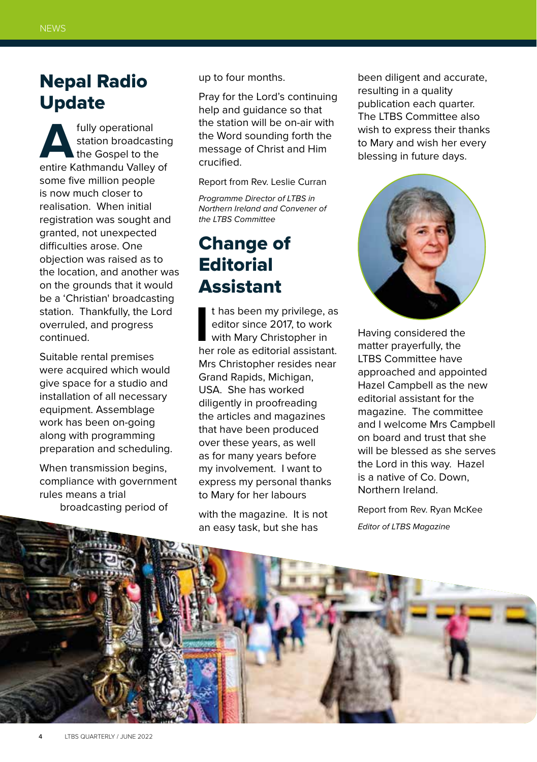### Nepal Radio Update

**And Station broadcasting**<br>
the Gospel to the<br>
entire Kathmandu Valley of station broadcasting the Gospel to the some five million people is now much closer to realisation. When initial registration was sought and granted, not unexpected difficulties arose. One objection was raised as to the location, and another was on the grounds that it would be a 'Christian' broadcasting station. Thankfully, the Lord overruled, and progress continued.

Suitable rental premises were acquired which would give space for a studio and installation of all necessary equipment. Assemblage work has been on-going along with programming preparation and scheduling.

When transmission begins, compliance with government rules means a trial broadcasting period of

up to four months.

Pray for the Lord's continuing help and guidance so that the station will be on-air with the Word sounding forth the message of Christ and Him crucified.

Report from Rev. Leslie Curran

*Programme Director of LTBS in Northern Ireland and Convener of the LTBS Committee*

### Change of **Editorial** Assistant

I has been my privilege, as<br>
editor since 2017, to work<br>
with Mary Christopher in<br>
her role as editorial assistant. t has been my privilege, as editor since 2017, to work with Mary Christopher in Mrs Christopher resides near Grand Rapids, Michigan, USA. She has worked diligently in proofreading the articles and magazines that have been produced over these years, as well as for many years before my involvement. I want to express my personal thanks to Mary for her labours

with the magazine. It is not an easy task, but she has

been diligent and accurate, resulting in a quality publication each quarter. The LTBS Committee also wish to express their thanks to Mary and wish her every blessing in future days.



Having considered the matter prayerfully, the LTBS Committee have approached and appointed Hazel Campbell as the new editorial assistant for the magazine. The committee and I welcome Mrs Campbell on board and trust that she will be blessed as she serves the Lord in this way. Hazel is a native of Co. Down, Northern Ireland.

Report from Rev. Ryan McKee *Editor of LTBS Magazine*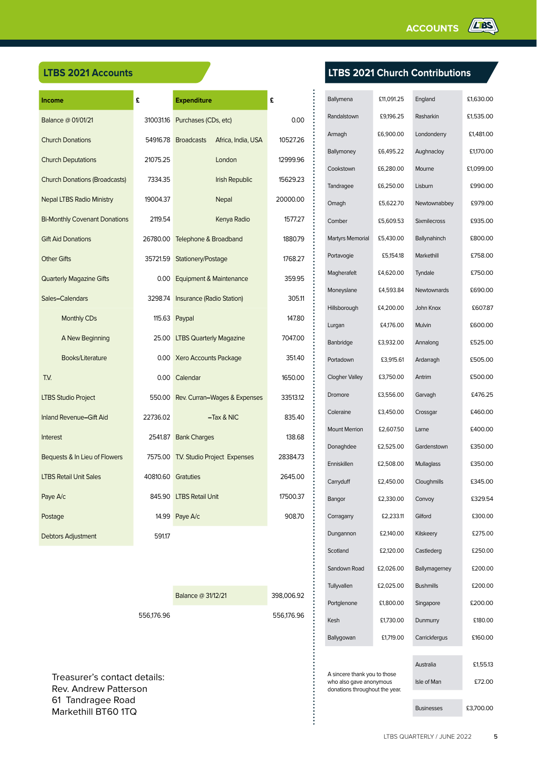| Income                               | £                  | <b>Expenditure</b>                        | £        |
|--------------------------------------|--------------------|-------------------------------------------|----------|
| Balance @ 01/01/21                   |                    | 310031.16 Purchases (CDs, etc)            | 0.00     |
| <b>Church Donations</b>              |                    | Africa, India, USA<br>54916.78 Broadcasts | 10527.26 |
| <b>Church Deputations</b>            | 21075.25           | London                                    | 12999.96 |
| <b>Church Donations (Broadcasts)</b> | 7334.35            | Irish Republic                            | 15629.23 |
| <b>Nepal LTBS Radio Ministry</b>     | 19004.37           | Nepal                                     | 20000.00 |
| <b>Bi-Monthly Covenant Donations</b> | 2119.54            | Kenya Radio                               | 1577.27  |
| <b>Gift Aid Donations</b>            | 26780.00           | Telephone & Broadband                     | 1880.79  |
| <b>Other Gifts</b>                   | 35721.59           | Stationery/Postage                        | 1768.27  |
| <b>Quarterly Magazine Gifts</b>      | 0.00               | Equipment & Maintenance                   | 359.95   |
| Sales-Calendars                      |                    | 3298.74 Insurance (Radio Station)         | 305.11   |
| Monthly CDs                          |                    | 115.63 Paypal                             | 147.80   |
| A New Beginning                      |                    | 25.00 LTBS Quarterly Magazine             | 7047.00  |
| Books/Literature                     |                    | 0.00 Xero Accounts Package                | 351.40   |
| T.V.                                 |                    | 0.00 Calendar                             | 1650.00  |
| <b>LTBS Studio Project</b>           |                    | 550.00 Rev. Curran-Wages & Expenses       | 33513.12 |
| Inland Revenue-Gift Aid              | 22736.02           | $-Tax & NIC$                              | 835.40   |
| <b>Interest</b>                      |                    | 2541.87 Bank Charges                      | 138.68   |
| Bequests & In Lieu of Flowers        |                    | 7575.00 T.V. Studio Project Expenses      | 28384.73 |
| <b>LTBS Retail Unit Sales</b>        | 40810.60 Gratuties |                                           | 2645.00  |
| Paye A/c                             |                    | 845.90 LTBS Retail Unit                   | 17500.37 |
| Postage                              | 14.99              | Paye A/c                                  | 908.70   |
| <b>Debtors Adjustment</b>            | 591.17             |                                           |          |

| Balance @ 31/12/21 | 398,006.92 |
|--------------------|------------|
|                    |            |

**...............** 

556,176.96 556,176.96

Treasurer's contact details: Rev. Andrew Patterson 61 Tandragee Road Markethill BT60 1TQ

#### **LTBS 2021 Accounts LTBS 2021 Church Contributions**

| Ballymena                                                 | £11,091.25 | England           | £1,630.00 |
|-----------------------------------------------------------|------------|-------------------|-----------|
| Randalstown                                               | £9,196.25  | Rasharkin         | £1,535.00 |
| Armagh                                                    | £6,900.00  | Londonderry       | £1,481.00 |
| Ballymoney                                                | £6,495.22  | Aughnacloy        | £1,170.00 |
| Cookstown                                                 | £6,280.00  | Mourne            | £1,099.00 |
| Tandragee                                                 | £6,250.00  | Lisburn           | £990.00   |
| Omagh                                                     | £5,622.70  | Newtownabbey      | £979.00   |
| Comber                                                    | £5,609.53  | Sixmilecross      | £935.00   |
| Martyrs Memorial                                          | £5,430.00  | Ballynahinch      | £800.00   |
| Portavogie                                                | £5,154.18  | Markethill        | £758.00   |
| Magherafelt                                               | £4,620.00  | Tyndale           | £750.00   |
| Moneyslane                                                | £4,593.84  | Newtownards       | £690.00   |
| Hillsborough                                              | £4,200.00  | John Knox         | £607.87   |
| Lurgan                                                    | £4,176.00  | Mulvin            | £600.00   |
| Banbridge                                                 | £3,932.00  | Annalong          | £525.00   |
| Portadown                                                 | £3,915.61  | Ardarragh         | £505.00   |
| <b>Clogher Valley</b>                                     | £3,750.00  | Antrim            | £500.00   |
| Dromore                                                   | £3,556.00  | Garvagh           | £476.25   |
| Coleraine                                                 | £3,450.00  | Crossgar          | £460.00   |
| <b>Mount Merrion</b>                                      | £2,607.50  | Larne             | £400.00   |
| Donaghdee                                                 | £2,525.00  | Gardenstown       | £350.00   |
| Enniskillen                                               | £2,508.00  | Mullaglass        | £350.00   |
| Carryduff                                                 | £2,450.00  | Cloughmills       | £345.00   |
| Bangor                                                    | £2,330.00  | Convoy            | £329.54   |
| Corragarry                                                | £2,233.11  | Gilford           | £300.00   |
| Dungannon                                                 | £2,140.00  | Kilskeery         | £275.00   |
| Scotland                                                  | £2,120.00  | Castlederg        | £250.00   |
| Sandown Road                                              | £2,026.00  | Ballymagerney     | £200.00   |
| Tullyvallen                                               | £2,025.00  | <b>Bushmills</b>  | £200.00   |
| Portglenone                                               | £1,800.00  | Singapore         | £200.00   |
| Kesh                                                      | £1,730.00  | Dunmurry          | £180.00   |
| Ballygowan                                                | £1,719.00  | Carrickfergus     | £160.00   |
|                                                           |            |                   |           |
| A sincere thank you to those                              |            | Australia         | £1,55.13  |
| who also gave anonymous<br>donations throughout the year. |            | Isle of Man       | £72.00    |
|                                                           |            | <b>Businesses</b> | £3,700.00 |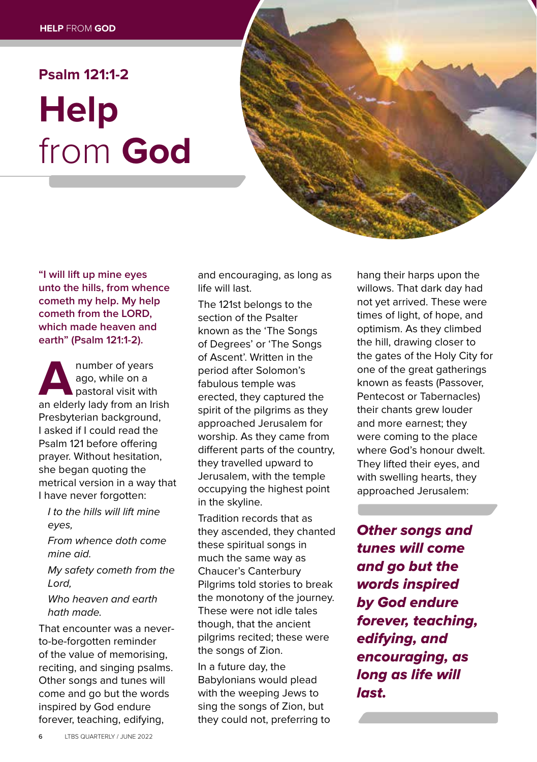### **Psalm 121:1-2 Help** from **God**



**"I will lift up mine eyes unto the hills, from whence cometh my help. My help cometh from the LORD, which made heaven and earth" (Psalm 121:1-2).** 

**A**<br> **A**number of years<br>
an elderly lady from an Irish<br>
an elderly lady from an Irish ago, while on a pastoral visit with Presbyterian background, I asked if I could read the Psalm 121 before offering prayer. Without hesitation, she began quoting the metrical version in a way that I have never forgotten:

- *I to the hills will lift mine eyes,*
- *From whence doth come mine aid.*
- *My safety cometh from the Lord,*

*Who heaven and earth hath made.*

That encounter was a neverto-be-forgotten reminder of the value of memorising, reciting, and singing psalms. Other songs and tunes will come and go but the words inspired by God endure forever, teaching, edifying,

and encouraging, as long as life will last.

The 121st belongs to the section of the Psalter known as the 'The Songs of Degrees' or 'The Songs of Ascent'. Written in the period after Solomon's fabulous temple was erected, they captured the spirit of the pilgrims as they approached Jerusalem for worship. As they came from different parts of the country, they travelled upward to Jerusalem, with the temple occupying the highest point in the skyline.

Tradition records that as they ascended, they chanted these spiritual songs in much the same way as Chaucer's Canterbury Pilgrims told stories to break the monotony of the journey. These were not idle tales though, that the ancient pilgrims recited; these were the songs of Zion.

In a future day, the Babylonians would plead with the weeping Jews to sing the songs of Zion, but they could not, preferring to

hang their harps upon the willows. That dark day had not yet arrived. These were times of light, of hope, and optimism. As they climbed the hill, drawing closer to the gates of the Holy City for one of the great gatherings known as feasts (Passover, Pentecost or Tabernacles) their chants grew louder and more earnest; they were coming to the place where God's honour dwelt. They lifted their eyes, and with swelling hearts, they approached Jerusalem:

*Other songs and tunes will come and go but the words inspired by God endure forever, teaching, edifying, and encouraging, as long as life will last.*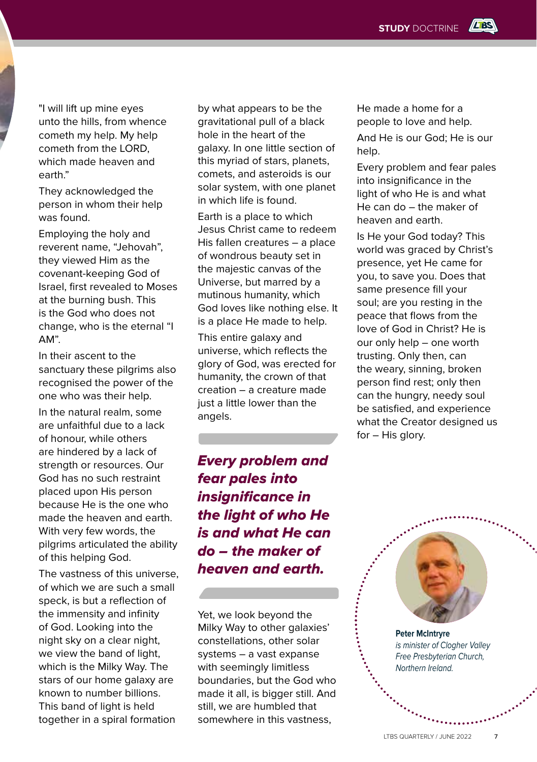**LES** 

"I will lift up mine eyes unto the hills, from whence cometh my help. My help cometh from the LORD, which made heaven and earth."

They acknowledged the person in whom their help was found.

Employing the holy and reverent name, "Jehovah", they viewed Him as the covenant-keeping God of Israel, first revealed to Moses at the burning bush. This is the God who does not change, who is the eternal "I AM".

In their ascent to the sanctuary these pilgrims also recognised the power of the one who was their help.

In the natural realm, some are unfaithful due to a lack of honour, while others are hindered by a lack of strength or resources. Our God has no such restraint placed upon His person because He is the one who made the heaven and earth. With very few words, the pilgrims articulated the ability of this helping God.

The vastness of this universe, of which we are such a small speck, is but a reflection of the immensity and infinity of God. Looking into the night sky on a clear night, we view the band of light, which is the Milky Way. The stars of our home galaxy are known to number billions. This band of light is held together in a spiral formation

by what appears to be the gravitational pull of a black hole in the heart of the galaxy. In one little section of this myriad of stars, planets, comets, and asteroids is our solar system, with one planet in which life is found.

Earth is a place to which Jesus Christ came to redeem His fallen creatures – a place of wondrous beauty set in the majestic canvas of the Universe, but marred by a mutinous humanity, which God loves like nothing else. It is a place He made to help.

This entire galaxy and universe, which reflects the glory of God, was erected for humanity, the crown of that creation – a creature made just a little lower than the angels.

*Every problem and fear pales into insignificance in the light of who He is and what He can do – the maker of heaven and earth.* 

Yet, we look beyond the Milky Way to other galaxies' constellations, other solar systems – a vast expanse with seemingly limitless boundaries, but the God who made it all, is bigger still. And still, we are humbled that somewhere in this vastness,

He made a home for a people to love and help.

And He is our God; He is our help.

Every problem and fear pales into insignificance in the light of who He is and what He can do – the maker of heaven and earth.

Is He your God today? This world was graced by Christ's presence, yet He came for you, to save you. Does that same presence fill your soul; are you resting in the peace that flows from the love of God in Christ? He is our only help – one worth trusting. Only then, can the weary, sinning, broken person find rest; only then can the hungry, needy soul be satisfied, and experience what the Creator designed us for – His glory.



**Peter McIntryre** *is minister of Clogher Valley Free Presbyterian Church, Northern Ireland.*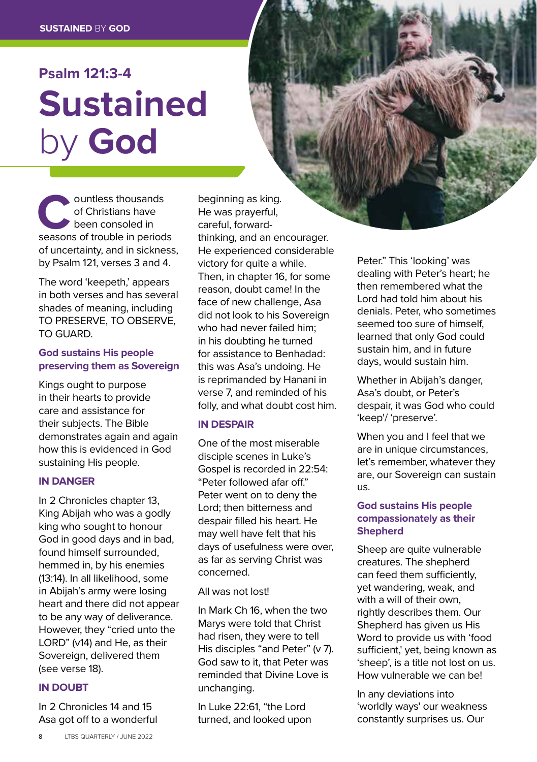### **Psalm 121:3-4 Sustained** by **God**

**Countless thousands**<br>
of Christians have<br>
been consoled in<br>
seasons of trouble in periods of Christians have been consoled in of uncertainty, and in sickness, by Psalm 121, verses 3 and 4.

The word 'keepeth,' appears in both verses and has several shades of meaning, including TO PRESERVE, TO OBSERVE, TO GUARD.

#### **God sustains His people preserving them as Sovereign**

Kings ought to purpose in their hearts to provide care and assistance for their subjects. The Bible demonstrates again and again how this is evidenced in God sustaining His people.

#### **IN DANGER**

In 2 Chronicles chapter 13, King Abijah who was a godly king who sought to honour God in good days and in bad, found himself surrounded, hemmed in, by his enemies (13:14). In all likelihood, some in Abijah's army were losing heart and there did not appear to be any way of deliverance. However, they "cried unto the LORD" (v14) and He, as their Sovereign, delivered them (see verse 18).

#### **IN DOUBT**

In 2 Chronicles 14 and 15 Asa got off to a wonderful

beginning as king. He was prayerful, careful, forwardthinking, and an encourager. He experienced considerable victory for quite a while. Then, in chapter 16, for some reason, doubt came! In the face of new challenge, Asa did not look to his Sovereign who had never failed him; in his doubting he turned for assistance to Benhadad: this was Asa's undoing. He is reprimanded by Hanani in verse 7, and reminded of his folly, and what doubt cost him.

#### **IN DESPAIR**

One of the most miserable disciple scenes in Luke's Gospel is recorded in 22:54: "Peter followed afar off." Peter went on to deny the Lord; then bitterness and despair filled his heart. He may well have felt that his days of usefulness were over, as far as serving Christ was concerned.

#### All was not lost!

In Mark Ch 16, when the two Marys were told that Christ had risen, they were to tell His disciples "and Peter" (v 7). God saw to it, that Peter was reminded that Divine Love is unchanging.

In Luke 22:61, "the Lord turned, and looked upon Peter." This 'looking' was dealing with Peter's heart; he then remembered what the Lord had told him about his denials. Peter, who sometimes seemed too sure of himself, learned that only God could sustain him, and in future days, would sustain him.

Whether in Abijah's danger, Asa's doubt, or Peter's despair, it was God who could 'keep'/ 'preserve'.

When you and I feel that we are in unique circumstances, let's remember, whatever they are, our Sovereign can sustain us.

#### **God sustains His people compassionately as their Shepherd**

Sheep are quite vulnerable creatures. The shepherd can feed them sufficiently, yet wandering, weak, and with a will of their own, rightly describes them. Our Shepherd has given us His Word to provide us with 'food sufficient,' yet, being known as 'sheep', is a title not lost on us. How vulnerable we can be!

In any deviations into 'worldly ways' our weakness constantly surprises us. Our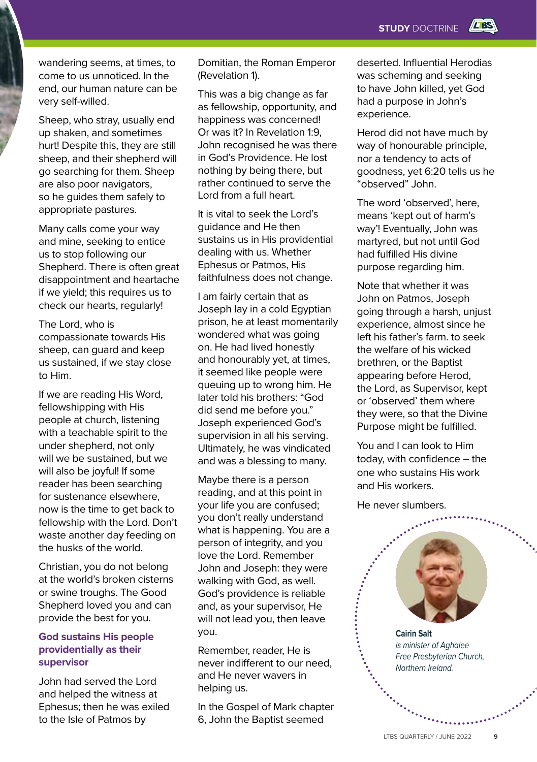wandering seems, at times, to come to us unnoticed. In the end, our human nature can be very self-willed.

Sheep, who stray, usually end up shaken, and sometimes hurt! Despite this, they are still sheep, and their shepherd will go searching for them. Sheep are also poor navigators, so he guides them safely to appropriate pastures.

Many calls come your way and mine, seeking to entice us to stop following our Shepherd. There is often great disappointment and heartache if we yield; this requires us to check our hearts, regularly!

The Lord, who is compassionate towards His sheep, can guard and keep us sustained, if we stay close to Him.

If we are reading His Word, fellowshipping with His people at church, listening with a teachable spirit to the under shepherd, not only will we be sustained, but we will also be joyful! If some reader has been searching for sustenance elsewhere, now is the time to get back to fellowship with the Lord. Don't waste another day feeding on the husks of the world.

Christian, you do not belong at the world's broken cisterns or swine troughs. The Good Shepherd loved you and can provide the best for you.

#### **God sustains His people providentially as their supervisor**

John had served the Lord and helped the witness at Ephesus; then he was exiled to the Isle of Patmos by

Domitian, the Roman Emperor (Revelation 1).

This was a big change as far as fellowship, opportunity, and happiness was concerned! Or was it? In Revelation 1:9, John recognised he was there in God's Providence. He lost nothing by being there, but rather continued to serve the Lord from a full heart.

It is vital to seek the Lord's guidance and He then sustains us in His providential dealing with us. Whether Ephesus or Patmos, His faithfulness does not change.

I am fairly certain that as Joseph lay in a cold Egyptian prison, he at least momentarily wondered what was going on. He had lived honestly and honourably yet, at times, it seemed like people were queuing up to wrong him. He later told his brothers: "God did send me before you." Joseph experienced God's supervision in all his serving. Ultimately, he was vindicated and was a blessing to many.

Maybe there is a person reading, and at this point in your life you are confused; you don't really understand what is happening. You are a person of integrity, and you love the Lord. Remember John and Joseph: they were walking with God, as well. God's providence is reliable and, as your supervisor, He will not lead you, then leave you.

Remember, reader, He is never indifferent to our need, and He never wavers in helping us.

In the Gospel of Mark chapter 6, John the Baptist seemed

deserted. Influential Herodias was scheming and seeking to have John killed, yet God had a purpose in John's experience.

Herod did not have much by way of honourable principle, nor a tendency to acts of goodness, yet 6:20 tells us he "observed" John.

The word 'observed', here, means 'kept out of harm's way'! Eventually, John was martyred, but not until God had fulfilled His divine purpose regarding him.

Note that whether it was John on Patmos, Joseph going through a harsh, unjust experience, almost since he left his father's farm. to seek the welfare of his wicked brethren, or the Baptist appearing before Herod, the Lord, as Supervisor, kept or 'observed' them where they were, so that the Divine Purpose might be fulfilled.

You and I can look to Him today, with confidence – the one who sustains His work and His workers.

He never slumbers.

**Cairin Salt**  *is minister of Aghalee Free Presbyterian Church, Northern Ireland.*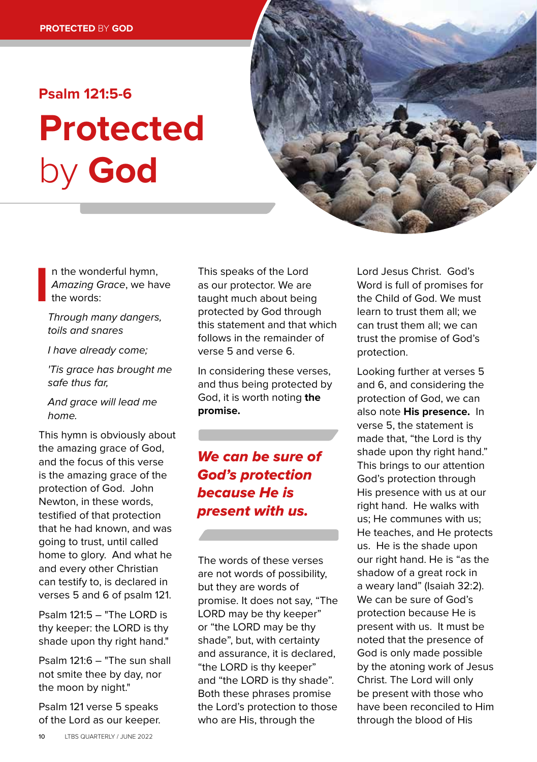## **Psalm 121:5-6 Protected**  by **God**



n the wonderful hymn, *Amazing Grace*, we have the words:

**I** *Through many dangers, toils and snares*

*I have already come;*

*'Tis grace has brought me safe thus far,*

*And grace will lead me home.*

This hymn is obviously about the amazing grace of God, and the focus of this verse is the amazing grace of the protection of God. John Newton, in these words, testified of that protection that he had known, and was going to trust, until called home to glory. And what he and every other Christian can testify to, is declared in verses 5 and 6 of psalm 121.

Psalm 121:5 – "The LORD is thy keeper: the LORD is thy shade upon thy right hand."

Psalm 121:6 – "The sun shall not smite thee by day, nor the moon by night."

Psalm 121 verse 5 speaks of the Lord as our keeper.

This speaks of the Lord as our protector. We are taught much about being protected by God through this statement and that which follows in the remainder of verse 5 and verse 6.

In considering these verses, and thus being protected by God, it is worth noting **the promise.** 

### *We can be sure of God's protection because He is present with us.*

The words of these verses are not words of possibility, but they are words of promise. It does not say, "The LORD may be thy keeper" or "the LORD may be thy shade", but, with certainty and assurance, it is declared, "the LORD is thy keeper" and "the LORD is thy shade". Both these phrases promise the Lord's protection to those who are His, through the

Lord Jesus Christ. God's Word is full of promises for the Child of God. We must learn to trust them all; we can trust them all; we can trust the promise of God's protection.

Looking further at verses 5 and 6, and considering the protection of God, we can also note **His presence.** In verse 5, the statement is made that, "the Lord is thy shade upon thy right hand." This brings to our attention God's protection through His presence with us at our right hand. He walks with us; He communes with us; He teaches, and He protects us. He is the shade upon our right hand. He is "as the shadow of a great rock in a weary land" (Isaiah 32:2). We can be sure of God's protection because He is present with us. It must be noted that the presence of God is only made possible by the atoning work of Jesus Christ. The Lord will only be present with those who have been reconciled to Him through the blood of His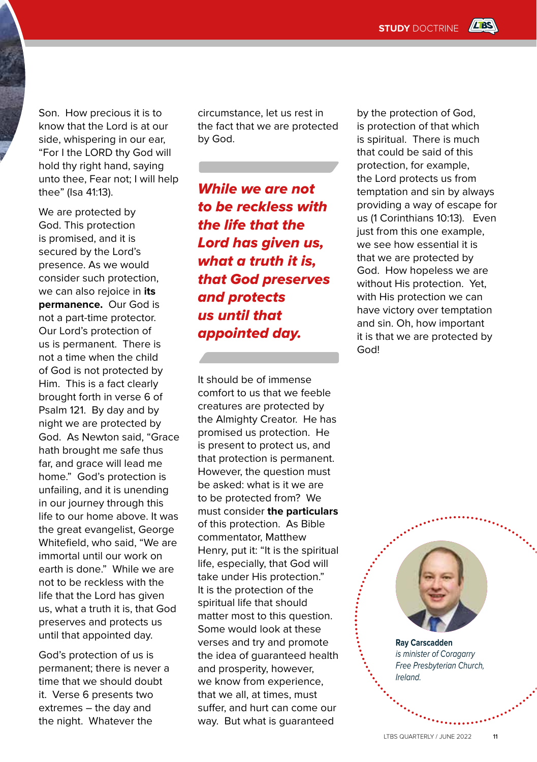Son. How precious it is to know that the Lord is at our side, whispering in our ear, "For I the LORD thy God will hold thy right hand, saying unto thee, Fear not; I will help thee" (Isa 41:13).

We are protected by God. This protection is promised, and it is secured by the Lord's presence. As we would consider such protection, we can also rejoice in **its permanence.** Our God is not a part-time protector. Our Lord's protection of us is permanent. There is not a time when the child of God is not protected by Him. This is a fact clearly brought forth in verse 6 of Psalm 121. By day and by night we are protected by God. As Newton said, "Grace hath brought me safe thus far, and grace will lead me home." God's protection is unfailing, and it is unending in our journey through this life to our home above. It was the great evangelist, George Whitefield, who said, "We are immortal until our work on earth is done." While we are not to be reckless with the life that the Lord has given us, what a truth it is, that God preserves and protects us until that appointed day.

God's protection of us is permanent; there is never a time that we should doubt it. Verse 6 presents two extremes – the day and the night. Whatever the

circumstance, let us rest in the fact that we are protected by God.

*While we are not to be reckless with the life that the Lord has given us, what a truth it is, that God preserves and protects us until that appointed day.*

It should be of immense comfort to us that we feeble creatures are protected by the Almighty Creator. He has promised us protection. He is present to protect us, and that protection is permanent. However, the question must be asked: what is it we are to be protected from? We must consider **the particulars** of this protection. As Bible commentator, Matthew Henry, put it: "It is the spiritual life, especially, that God will take under His protection." It is the protection of the spiritual life that should matter most to this question. Some would look at these verses and try and promote the idea of guaranteed health and prosperity, however, we know from experience, that we all, at times, must suffer, and hurt can come our way. But what is guaranteed

by the protection of God, is protection of that which is spiritual. There is much that could be said of this protection, for example, the Lord protects us from temptation and sin by always providing a way of escape for us (1 Corinthians 10:13). Even just from this one example, we see how essential it is that we are protected by God. How hopeless we are without His protection. Yet, with His protection we can have victory over temptation and sin. Oh, how important it is that we are protected by God!



**Ray Carscadden** *is minister of Coragarry Free Presbyterian Church, Ireland.*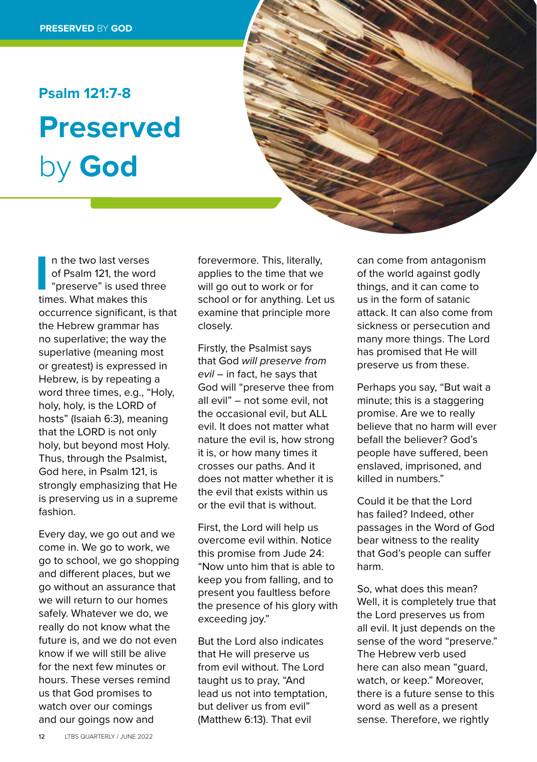### **Psalm 121:7-8 Preserved** by **God**

In the two last verses<br>
of Psalm 121, the work<br>
"preserve" is used th<br>
times. What makes this n the two last verses of Psalm 121, the word "preserve" is used three occurrence significant, is that the Hebrew grammar has no superlative; the way the superlative (meaning most or greatest) is expressed in Hebrew, is by repeating a word three times, e.g., "Holy, holy, holy, is the LORD of hosts" (Isaiah 6:3), meaning that the LORD is not only holy, but beyond most Holy. Thus, through the Psalmist, God here, in Psalm 121, is strongly emphasizing that He is preserving us in a supreme fashion.

Every day, we go out and we come in. We go to work, we go to school, we go shopping and different places, but we go without an assurance that we will return to our homes safely. Whatever we do, we really do not know what the future is, and we do not even know if we will still be alive for the next few minutes or hours. These verses remind us that God promises to watch over our comings and our goings now and

forevermore. This, literally, applies to the time that we will go out to work or for school or for anything. Let us examine that principle more closely.

Firstly, the Psalmist says that God *will preserve from evil* – in fact, he says that God will "preserve thee from all evil" – not some evil, not the occasional evil, but ALL evil. It does not matter what nature the evil is, how strong it is, or how many times it crosses our paths. And it does not matter whether it is the evil that exists within us or the evil that is without.

First, the Lord will help us overcome evil within. Notice this promise from Jude 24: "Now unto him that is able to keep you from falling, and to present you faultless before the presence of his glory with exceeding joy."

But the Lord also indicates that He will preserve us from evil without. The Lord taught us to pray, "And lead us not into temptation, but deliver us from evil" (Matthew 6:13). That evil

can come from antagonism of the world against godly things, and it can come to us in the form of satanic attack. It can also come from sickness or persecution and many more things. The Lord has promised that He will preserve us from these.

Perhaps you say, "But wait a minute; this is a staggering promise. Are we to really believe that no harm will ever befall the believer? God's people have suffered, been enslaved, imprisoned, and killed in numbers."

Could it be that the Lord has failed? Indeed, other passages in the Word of God bear witness to the reality that God's people can suffer harm.

So, what does this mean? Well, it is completely true that the Lord preserves us from all evil. It just depends on the sense of the word "preserve." The Hebrew verb used here can also mean "guard, watch, or keep." Moreover, there is a future sense to this word as well as a present sense. Therefore, we rightly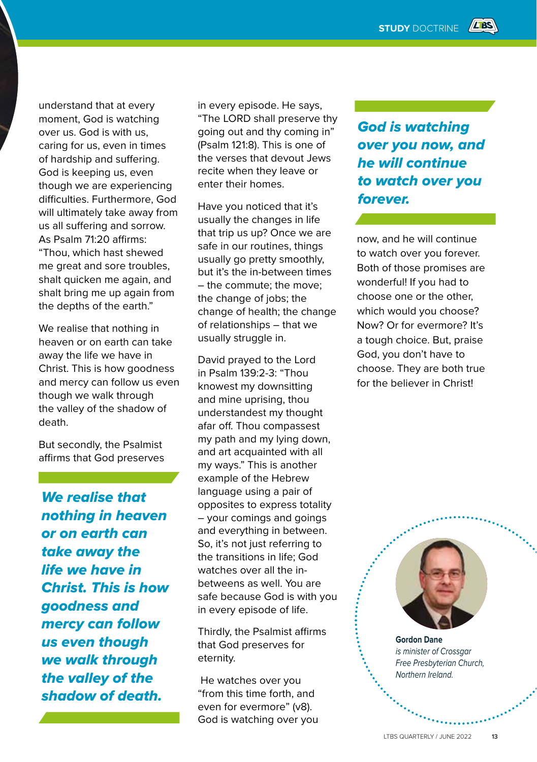understand that at every moment, God is watching over us. God is with us, caring for us, even in times of hardship and suffering. God is keeping us, even though we are experiencing difficulties. Furthermore, God will ultimately take away from us all suffering and sorrow. As Psalm 71:20 affirms: "Thou, which hast shewed me great and sore troubles, shalt quicken me again, and shalt bring me up again from the depths of the earth."

We realise that nothing in heaven or on earth can take away the life we have in Christ. This is how goodness and mercy can follow us even though we walk through the valley of the shadow of death.

But secondly, the Psalmist affirms that God preserves

*We realise that nothing in heaven or on earth can take away the life we have in Christ. This is how goodness and mercy can follow us even though we walk through the valley of the shadow of death.* 

in every episode. He says, "The LORD shall preserve thy going out and thy coming in" (Psalm 121:8). This is one of the verses that devout Jews recite when they leave or enter their homes.

Have you noticed that it's usually the changes in life that trip us up? Once we are safe in our routines, things usually go pretty smoothly, but it's the in-between times – the commute; the move; the change of jobs; the change of health; the change of relationships – that we usually struggle in.

David prayed to the Lord in Psalm 139:2-3: "Thou knowest my downsitting and mine uprising, thou understandest my thought afar off. Thou compassest my path and my lying down, and art acquainted with all my ways." This is another example of the Hebrew language using a pair of opposites to express totality – your comings and goings and everything in between. So, it's not just referring to the transitions in life; God watches over all the inbetweens as well. You are safe because God is with you in every episode of life.

Thirdly, the Psalmist affirms that God preserves for eternity.

 He watches over you "from this time forth, and even for evermore" (v8). God is watching over you *God is watching over you now, and he will continue to watch over you forever.* 

now, and he will continue to watch over you forever. Both of those promises are wonderful! If you had to choose one or the other, which would you choose? Now? Or for evermore? It's a tough choice. But, praise God, you don't have to choose. They are both true for the believer in Christ!



**Gordon Dane** *is minister of Crossgar Free Presbyterian Church, Northern Ireland.*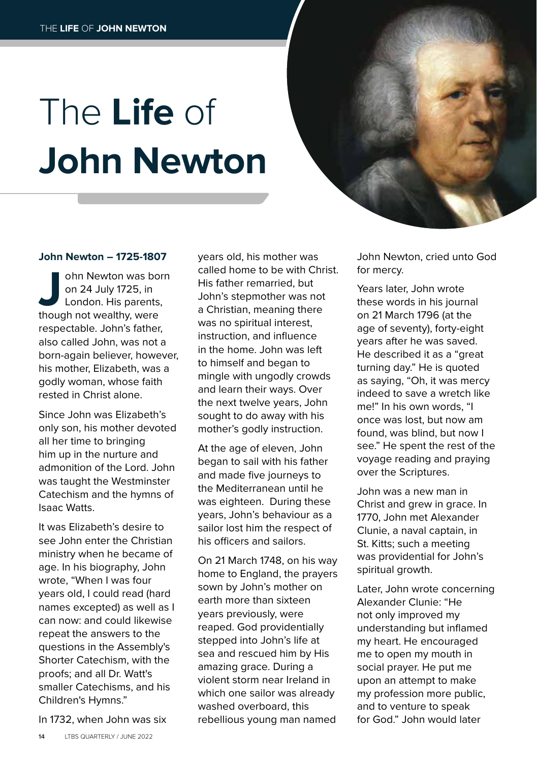# The **Life** of **John Newton**

#### **John Newton – 1725-1807**

**John Newton was born**<br>
on 24 July 1725, in<br>
London. His parents,<br>
though not wealthy, were on 24 July 1725, in London. His parents, respectable. John's father, also called John, was not a born-again believer, however, his mother, Elizabeth, was a godly woman, whose faith rested in Christ alone.

Since John was Elizabeth's only son, his mother devoted all her time to bringing him up in the nurture and admonition of the Lord. John was taught the Westminster Catechism and the hymns of Isaac Watts.

It was Elizabeth's desire to see John enter the Christian ministry when he became of age. In his biography, John wrote, "When I was four years old, I could read (hard names excepted) as well as I can now: and could likewise repeat the answers to the questions in the Assembly's Shorter Catechism, with the proofs; and all Dr. Watt's smaller Catechisms, and his Children's Hymns."

In 1732, when John was six

years old, his mother was called home to be with Christ. His father remarried, but John's stepmother was not a Christian, meaning there was no spiritual interest, instruction, and influence in the home. John was left to himself and began to mingle with ungodly crowds and learn their ways. Over the next twelve years, John sought to do away with his mother's godly instruction.

At the age of eleven, John began to sail with his father and made five journeys to the Mediterranean until he was eighteen. During these years, John's behaviour as a sailor lost him the respect of his officers and sailors.

On 21 March 1748, on his way home to England, the prayers sown by John's mother on earth more than sixteen years previously, were reaped. God providentially stepped into John's life at sea and rescued him by His amazing grace. During a violent storm near Ireland in which one sailor was already washed overboard, this rebellious young man named

John Newton, cried unto God for mercy.

Years later, John wrote these words in his journal on 21 March 1796 (at the age of seventy), forty-eight years after he was saved. He described it as a "great turning day." He is quoted as saying, "Oh, it was mercy indeed to save a wretch like me!" In his own words, "I once was lost, but now am found, was blind, but now I see." He spent the rest of the voyage reading and praying over the Scriptures.

John was a new man in Christ and grew in grace. In 1770, John met Alexander Clunie, a naval captain, in St. Kitts; such a meeting was providential for John's spiritual growth.

Later, John wrote concerning Alexander Clunie: "He not only improved my understanding but inflamed my heart. He encouraged me to open my mouth in social prayer. He put me upon an attempt to make my profession more public, and to venture to speak for God." John would later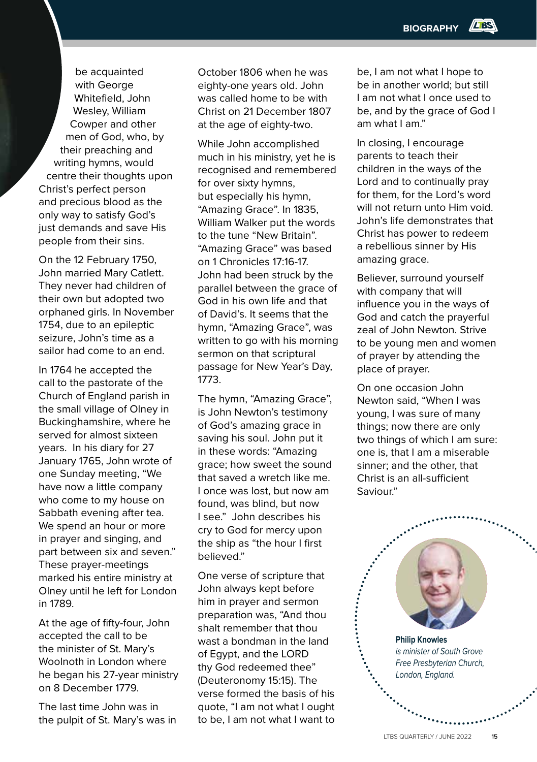be acquainted with George Whitefield, John Wesley, William Cowper and other men of God, who, by their preaching and writing hymns, would centre their thoughts upon Christ's perfect person and precious blood as the only way to satisfy God's just demands and save His people from their sins.

On the 12 February 1750, John married Mary Catlett. They never had children of their own but adopted two orphaned girls. In November 1754, due to an epileptic seizure, John's time as a sailor had come to an end.

In 1764 he accepted the call to the pastorate of the Church of England parish in the small village of Olney in Buckinghamshire, where he served for almost sixteen years. In his diary for 27 January 1765, John wrote of one Sunday meeting, "We have now a little company who come to my house on Sabbath evening after tea. We spend an hour or more in prayer and singing, and part between six and seven." These prayer-meetings marked his entire ministry at Olney until he left for London in 1789.

At the age of fifty-four, John accepted the call to be the minister of St. Mary's Woolnoth in London where he began his 27-year ministry on 8 December 1779.

The last time John was in the pulpit of St. Mary's was in

October 1806 when he was eighty-one years old. John was called home to be with Christ on 21 December 1807 at the age of eighty-two.

While John accomplished much in his ministry, yet he is recognised and remembered for over sixty hymns, but especially his hymn, "Amazing Grace". In 1835, William Walker put the words to the tune "New Britain". "Amazing Grace" was based on 1 Chronicles 17:16-17. John had been struck by the parallel between the grace of God in his own life and that of David's. It seems that the hymn, "Amazing Grace", was written to go with his morning sermon on that scriptural passage for New Year's Day, 1773.

The hymn, "Amazing Grace", is John Newton's testimony of God's amazing grace in saving his soul. John put it in these words: "Amazing grace; how sweet the sound that saved a wretch like me. I once was lost, but now am found, was blind, but now I see." John describes his cry to God for mercy upon the ship as "the hour I first believed."

One verse of scripture that John always kept before him in prayer and sermon preparation was, "And thou shalt remember that thou wast a bondman in the land of Egypt, and the LORD thy God redeemed thee" (Deuteronomy 15:15). The verse formed the basis of his quote, "I am not what I ought to be, I am not what I want to

be, I am not what I hope to be in another world; but still I am not what I once used to be, and by the grace of God I am what I am."

In closing, I encourage parents to teach their children in the ways of the Lord and to continually pray for them, for the Lord's word will not return unto Him void. John's life demonstrates that Christ has power to redeem a rebellious sinner by His amazing grace.

Believer, surround yourself with company that will influence you in the ways of God and catch the prayerful zeal of John Newton. Strive to be young men and women of prayer by attending the place of prayer.

On one occasion John Newton said, "When I was young, I was sure of many things; now there are only two things of which I am sure: one is, that I am a miserable sinner; and the other, that Christ is an all-sufficient Saviour."

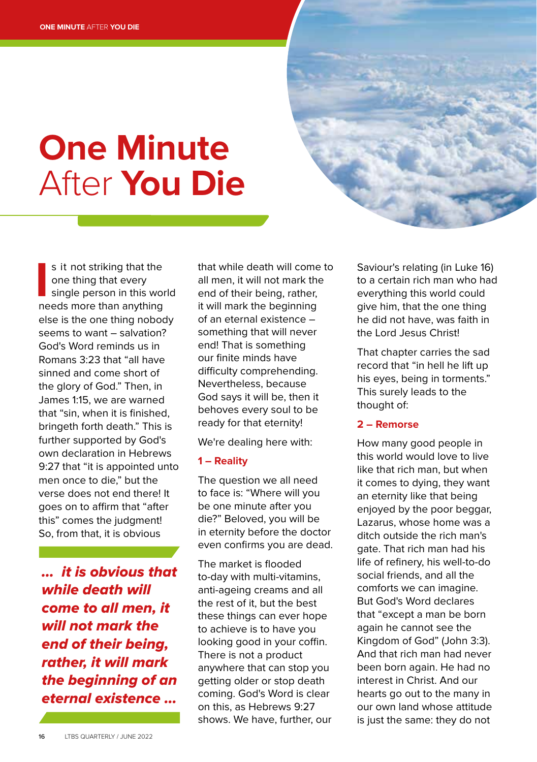# **One Minute** After **You Die**

s it not striking that the<br>
one thing that every<br>
single person in this work<br>
needs more than anything s it not striking that the one thing that every single person in this world else is the one thing nobody seems to want – salvation? God's Word reminds us in Romans 3:23 that "all have sinned and come short of the glory of God." Then, in James 1:15, we are warned that "sin, when it is finished, bringeth forth death." This is further supported by God's own declaration in Hebrews 9:27 that "it is appointed unto men once to die," but the verse does not end there! It goes on to affirm that "after this" comes the judgment! So, from that, it is obvious

*... it is obvious that while death will come to all men, it will not mark the end of their being, rather, it will mark the beginning of an eternal existence ...*

that while death will come to all men, it will not mark the end of their being, rather, it will mark the beginning of an eternal existence – something that will never end! That is something our finite minds have difficulty comprehending. Nevertheless, because God says it will be, then it behoves every soul to be ready for that eternity!

We're dealing here with:

#### **1 – Reality**

The question we all need to face is: "Where will you be one minute after you die?" Beloved, you will be in eternity before the doctor even confirms you are dead.

The market is flooded to-day with multi-vitamins, anti-ageing creams and all the rest of it, but the best these things can ever hope to achieve is to have you looking good in your coffin. There is not a product anywhere that can stop you getting older or stop death coming. God's Word is clear on this, as Hebrews 9:27 shows. We have, further, our Saviour's relating (in Luke 16) to a certain rich man who had everything this world could give him, that the one thing he did not have, was faith in the Lord Jesus Christ!

That chapter carries the sad record that "in hell he lift up his eyes, being in torments." This surely leads to the thought of:

#### **2 – Remorse**

How many good people in this world would love to live like that rich man, but when it comes to dying, they want an eternity like that being enjoyed by the poor beggar, Lazarus, whose home was a ditch outside the rich man's gate. That rich man had his life of refinery, his well-to-do social friends, and all the comforts we can imagine. But God's Word declares that "except a man be born again he cannot see the Kingdom of God" (John 3:3). And that rich man had never been born again. He had no interest in Christ. And our hearts go out to the many in our own land whose attitude is just the same: they do not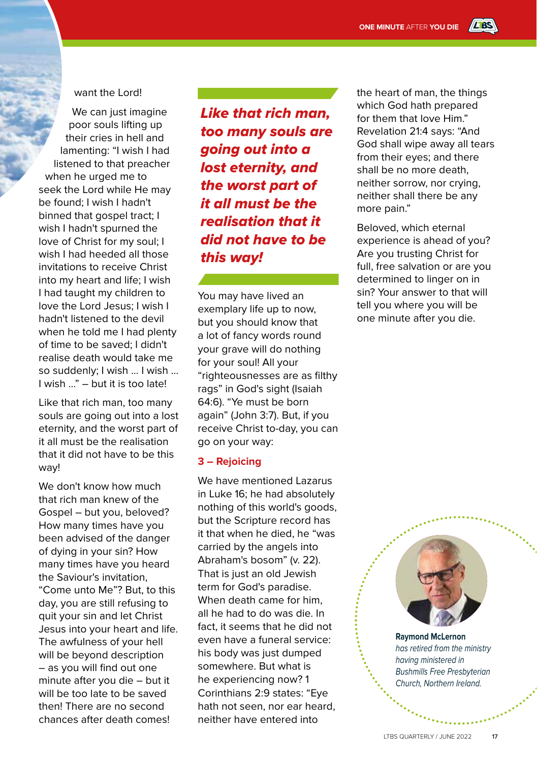#### want the Lord!

We can just imagine poor souls lifting up their cries in hell and lamenting: "I wish I had listened to that preacher when he urged me to seek the Lord while He may be found; I wish I hadn't binned that gospel tract; I wish I hadn't spurned the love of Christ for my soul; I wish I had heeded all those invitations to receive Christ into my heart and life; I wish I had taught my children to love the Lord Jesus; I wish I hadn't listened to the devil when he told me I had plenty of time to be saved; I didn't realise death would take me so suddenly; I wish ... I wish ... I wish …" – but it is too late!

Like that rich man, too many souls are going out into a lost eternity, and the worst part of it all must be the realisation that it did not have to be this way!

We don't know how much that rich man knew of the Gospel – but you, beloved? How many times have you been advised of the danger of dying in your sin? How many times have you heard the Saviour's invitation, "Come unto Me"? But, to this day, you are still refusing to quit your sin and let Christ Jesus into your heart and life. The awfulness of your hell will be beyond description – as you will find out one minute after you die – but it will be too late to be saved then! There are no second chances after death comes!

*Like that rich man, too many souls are going out into a lost eternity, and the worst part of it all must be the realisation that it did not have to be this way!*

You may have lived an exemplary life up to now, but you should know that a lot of fancy words round your grave will do nothing for your soul! All your "righteousnesses are as filthy rags" in God's sight (Isaiah 64:6). "Ye must be born again" (John 3:7). But, if you receive Christ to-day, you can go on your way:

#### **3 – Rejoicing**

We have mentioned Lazarus in Luke 16; he had absolutely nothing of this world's goods, but the Scripture record has it that when he died, he "was carried by the angels into Abraham's bosom" (v. 22). That is just an old Jewish term for God's paradise. When death came for him, all he had to do was die. In fact, it seems that he did not even have a funeral service: his body was just dumped somewhere. But what is he experiencing now? 1 Corinthians 2:9 states: "Eye hath not seen, nor ear heard, neither have entered into

the heart of man, the things which God hath prepared for them that love Him." Revelation 21:4 says: "And God shall wipe away all tears from their eyes; and there shall be no more death, neither sorrow, nor crying, neither shall there be any more pain."

Beloved, which eternal experience is ahead of you? Are you trusting Christ for full, free salvation or are you determined to linger on in sin? Your answer to that will tell you where you will be one minute after you die.



**Raymond McLernon** *has retired from the ministry having ministered in Bushmills Free Presbyterian Church, Northern Ireland.*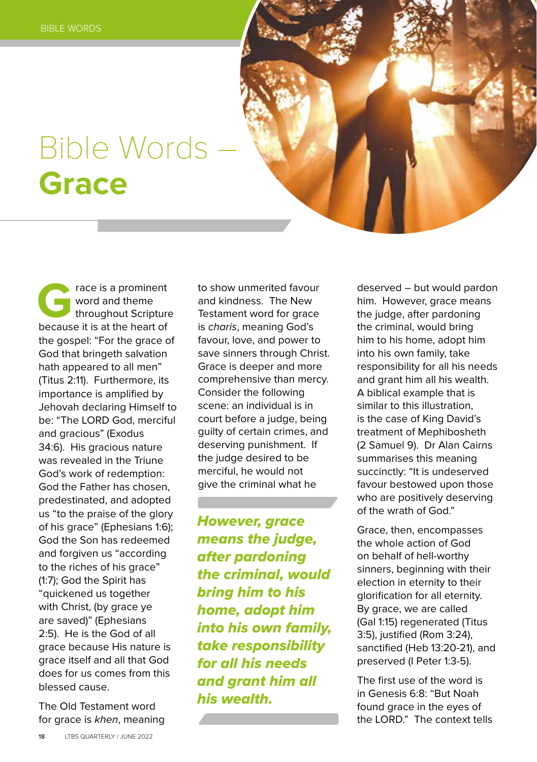## Bible Words – **Grace**

**Grace is a prominent**<br>
word and theme<br>
throughout Scripture<br>
because it is at the heart of word and theme throughout Scripture the gospel: "For the grace of God that bringeth salvation hath appeared to all men" (Titus 2:11). Furthermore, its importance is amplified by Jehovah declaring Himself to be: "The LORD God, merciful and gracious" (Exodus 34:6). His gracious nature was revealed in the Triune God's work of redemption: God the Father has chosen, predestinated, and adopted us "to the praise of the glory of his grace" (Ephesians 1:6); God the Son has redeemed and forgiven us "according to the riches of his grace" (1:7); God the Spirit has "quickened us together with Christ, (by grace ye are saved)" (Ephesians 2:5). He is the God of all grace because His nature is grace itself and all that God does for us comes from this blessed cause.

The Old Testament word for grace is *khen*, meaning to show unmerited favour and kindness. The New Testament word for grace is *charis*, meaning God's favour, love, and power to save sinners through Christ. Grace is deeper and more comprehensive than mercy. Consider the following scene: an individual is in court before a judge, being guilty of certain crimes, and deserving punishment. If the judge desired to be merciful, he would not give the criminal what he

*However, grace means the judge, after pardoning the criminal, would bring him to his home, adopt him into his own family, take responsibility for all his needs and grant him all his wealth.*

deserved – but would pardon him. However, grace means the judge, after pardoning the criminal, would bring him to his home, adopt him into his own family, take responsibility for all his needs and grant him all his wealth. A biblical example that is similar to this illustration, is the case of King David's treatment of Mephibosheth (2 Samuel 9). Dr Alan Cairns summarises this meaning succinctly: "It is undeserved favour bestowed upon those who are positively deserving of the wrath of God."

Grace, then, encompasses the whole action of God on behalf of hell-worthy sinners, beginning with their election in eternity to their glorification for all eternity. By grace, we are called (Gal 1:15) regenerated (Titus 3:5), justified (Rom 3:24), sanctified (Heb 13:20-21), and preserved (I Peter 1:3-5).

The first use of the word is in Genesis 6:8: "But Noah found grace in the eyes of the LORD." The context tells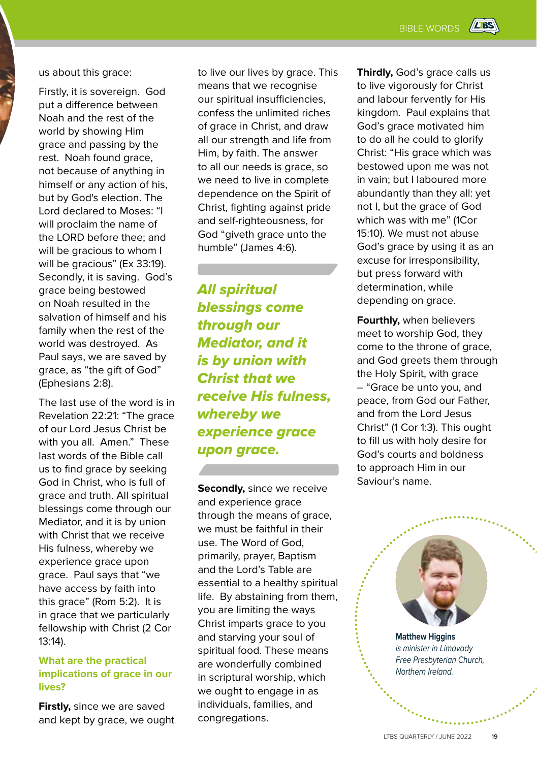us about this grace:

Firstly, it is sovereign. God put a difference between Noah and the rest of the world by showing Him grace and passing by the rest. Noah found grace, not because of anything in himself or any action of his, but by God's election. The Lord declared to Moses: "I will proclaim the name of the LORD before thee; and will be gracious to whom I will be gracious" (Ex 33:19). Secondly, it is saving. God's grace being bestowed on Noah resulted in the salvation of himself and his family when the rest of the world was destroyed. As Paul says, we are saved by grace, as "the gift of God" (Ephesians 2:8).

The last use of the word is in Revelation 22:21: "The grace of our Lord Jesus Christ be with you all. Amen." These last words of the Bible call us to find grace by seeking God in Christ, who is full of grace and truth. All spiritual blessings come through our Mediator, and it is by union with Christ that we receive His fulness, whereby we experience grace upon grace. Paul says that "we have access by faith into this grace" (Rom 5:2). It is in grace that we particularly fellowship with Christ (2 Cor 13:14).

#### **What are the practical implications of grace in our lives?**

**Firstly,** since we are saved and kept by grace, we ought to live our lives by grace. This means that we recognise our spiritual insufficiencies, confess the unlimited riches of grace in Christ, and draw all our strength and life from Him, by faith. The answer to all our needs is grace, so we need to live in complete dependence on the Spirit of Christ, fighting against pride and self-righteousness, for God "giveth grace unto the humble" (James 4:6).

*All spiritual blessings come through our Mediator, and it is by union with Christ that we receive His fulness, whereby we experience grace upon grace.* 

**Secondly,** since we receive and experience grace through the means of grace, we must be faithful in their use. The Word of God, primarily, prayer, Baptism and the Lord's Table are essential to a healthy spiritual life. By abstaining from them, you are limiting the ways Christ imparts grace to you and starving your soul of spiritual food. These means are wonderfully combined in scriptural worship, which we ought to engage in as individuals, families, and congregations.

**Thirdly,** God's grace calls us to live vigorously for Christ and labour fervently for His kingdom. Paul explains that God's grace motivated him to do all he could to glorify Christ: "His grace which was bestowed upon me was not in vain; but I laboured more abundantly than they all: yet not I, but the grace of God which was with me" (1Cor 15:10). We must not abuse God's grace by using it as an excuse for irresponsibility, but press forward with determination, while depending on grace.

**Fourthly,** when believers meet to worship God, they come to the throne of grace, and God greets them through the Holy Spirit, with grace – "Grace be unto you, and peace, from God our Father, and from the Lord Jesus Christ" (1 Cor 1:3). This ought to fill us with holy desire for God's courts and boldness to approach Him in our Saviour's name.

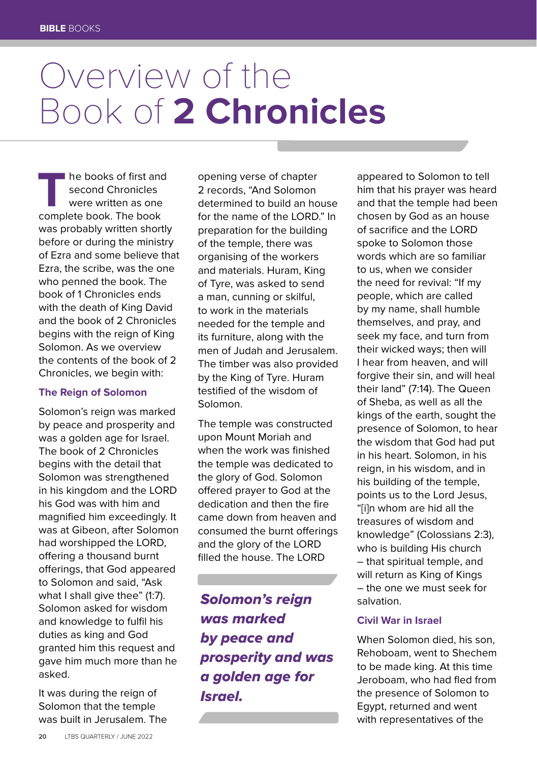# Overview of the Book of **2 Chronicles**

**The books of first and<br>
second Chronicles**<br>
were written as one<br>
complete book. The book second Chronicles were written as one was probably written shortly before or during the ministry of Ezra and some believe that Ezra, the scribe, was the one who penned the book. The book of 1 Chronicles ends with the death of King David and the book of 2 Chronicles begins with the reign of King Solomon. As we overview the contents of the book of 2 Chronicles, we begin with:

#### **The Reign of Solomon**

Solomon's reign was marked by peace and prosperity and was a golden age for Israel. The book of 2 Chronicles begins with the detail that Solomon was strengthened in his kingdom and the LORD his God was with him and magnified him exceedingly. It was at Gibeon, after Solomon had worshipped the LORD, offering a thousand burnt offerings, that God appeared to Solomon and said, "Ask what I shall give thee" (1:7). Solomon asked for wisdom and knowledge to fulfil his duties as king and God granted him this request and gave him much more than he asked.

It was during the reign of Solomon that the temple was built in Jerusalem. The

opening verse of chapter 2 records, "And Solomon determined to build an house for the name of the LORD." In preparation for the building of the temple, there was organising of the workers and materials. Huram, King of Tyre, was asked to send a man, cunning or skilful, to work in the materials needed for the temple and its furniture, along with the men of Judah and Jerusalem. The timber was also provided by the King of Tyre. Huram testified of the wisdom of Solomon.

The temple was constructed upon Mount Moriah and when the work was finished the temple was dedicated to the glory of God. Solomon offered prayer to God at the dedication and then the fire came down from heaven and consumed the burnt offerings and the glory of the LORD filled the house. The LORD

*Solomon's reign was marked by peace and prosperity and was a golden age for Israel.* 

appeared to Solomon to tell him that his prayer was heard and that the temple had been chosen by God as an house of sacrifice and the LORD spoke to Solomon those words which are so familiar to us, when we consider the need for revival: "If my people, which are called by my name, shall humble themselves, and pray, and seek my face, and turn from their wicked ways; then will I hear from heaven, and will forgive their sin, and will heal their land" (7:14). The Queen of Sheba, as well as all the kings of the earth, sought the presence of Solomon, to hear the wisdom that God had put in his heart. Solomon, in his reign, in his wisdom, and in his building of the temple, points us to the Lord Jesus, "[i]n whom are hid all the treasures of wisdom and knowledge" (Colossians 2:3), who is building His church – that spiritual temple, and will return as King of Kings – the one we must seek for salvation.

#### **Civil War in Israel**

When Solomon died, his son, Rehoboam, went to Shechem to be made king. At this time Jeroboam, who had fled from the presence of Solomon to Egypt, returned and went with representatives of the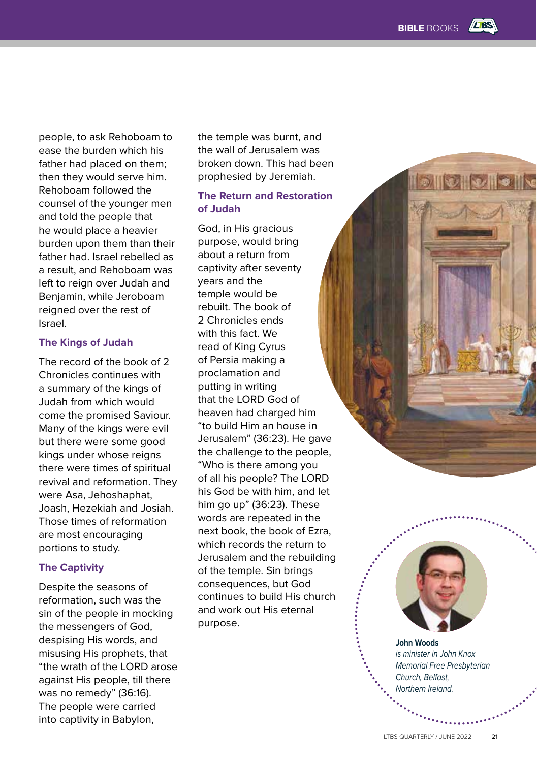**SIIO IO IO** II

people, to ask Rehoboam to ease the burden which his father had placed on them; then they would serve him. Rehoboam followed the counsel of the younger men and told the people that he would place a heavier burden upon them than their father had. Israel rebelled as a result, and Rehoboam was left to reign over Judah and Benjamin, while Jeroboam reigned over the rest of Israel.

#### **The Kings of Judah**

The record of the book of 2 Chronicles continues with a summary of the kings of Judah from which would come the promised Saviour. Many of the kings were evil but there were some good kings under whose reigns there were times of spiritual revival and reformation. They were Asa, Jehoshaphat, Joash, Hezekiah and Josiah. Those times of reformation are most encouraging portions to study.

#### **The Captivity**

Despite the seasons of reformation, such was the sin of the people in mocking the messengers of God, despising His words, and misusing His prophets, that "the wrath of the LORD arose against His people, till there was no remedy" (36:16). The people were carried into captivity in Babylon,

the temple was burnt, and the wall of Jerusalem was broken down. This had been prophesied by Jeremiah.

#### **The Return and Restoration of Judah**

God, in His gracious purpose, would bring about a return from captivity after seventy years and the temple would be rebuilt. The book of 2 Chronicles ends with this fact. We read of King Cyrus of Persia making a proclamation and putting in writing that the LORD God of heaven had charged him "to build Him an house in Jerusalem" (36:23). He gave the challenge to the people, "Who is there among you of all his people? The LORD his God be with him, and let him go up" (36:23). These words are repeated in the next book, the book of Ezra, which records the return to Jerusalem and the rebuilding of the temple. Sin brings consequences, but God continues to build His church and work out His eternal purpose.

**John Woods** *is minister in John Knox Memorial Free Presbyterian Church, Belfast, Northern Ireland.*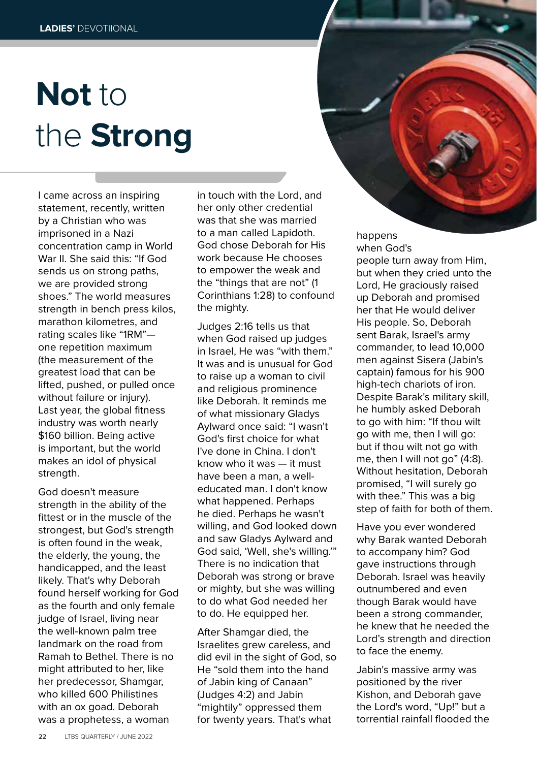# **Not** to the **Strong**

I came across an inspiring statement, recently, written by a Christian who was imprisoned in a Nazi concentration camp in World War II. She said this: "If God sends us on strong paths, we are provided strong shoes." The world measures strength in bench press kilos, marathon kilometres, and rating scales like "1RM" one repetition maximum (the measurement of the greatest load that can be lifted, pushed, or pulled once without failure or injury). Last year, the global fitness industry was worth nearly \$160 billion. Being active is important, but the world makes an idol of physical strength.

God doesn't measure strength in the ability of the fittest or in the muscle of the strongest, but God's strength is often found in the weak, the elderly, the young, the handicapped, and the least likely. That's why Deborah found herself working for God as the fourth and only female judge of Israel, living near the well-known palm tree landmark on the road from Ramah to Bethel. There is no might attributed to her, like her predecessor, Shamgar, who killed 600 Philistines with an ox goad. Deborah was a prophetess, a woman

in touch with the Lord, and her only other credential was that she was married to a man called Lapidoth. God chose Deborah for His work because He chooses to empower the weak and the "things that are not" (1 Corinthians 1:28) to confound the mighty.

Judges 2:16 tells us that when God raised up judges in Israel, He was "with them." It was and is unusual for God to raise up a woman to civil and religious prominence like Deborah. It reminds me of what missionary Gladys Aylward once said: "I wasn't God's first choice for what I've done in China. I don't know who it was — it must have been a man, a welleducated man. I don't know what happened. Perhaps he died. Perhaps he wasn't willing, and God looked down and saw Gladys Aylward and God said, 'Well, she's willing.'" There is no indication that Deborah was strong or brave or mighty, but she was willing to do what God needed her to do. He equipped her.

After Shamgar died, the Israelites grew careless, and did evil in the sight of God, so He "sold them into the hand of Jabin king of Canaan" (Judges 4:2) and Jabin "mightily" oppressed them for twenty years. That's what

happens when God's

people turn away from Him, but when they cried unto the Lord, He graciously raised up Deborah and promised her that He would deliver His people. So, Deborah sent Barak, Israel's army commander, to lead 10,000 men against Sisera (Jabin's captain) famous for his 900 high-tech chariots of iron. Despite Barak's military skill, he humbly asked Deborah to go with him: "If thou wilt go with me, then I will go: but if thou wilt not go with me, then I will not go" (4:8). Without hesitation, Deborah promised, "I will surely go with thee." This was a big step of faith for both of them.

Have you ever wondered why Barak wanted Deborah to accompany him? God gave instructions through Deborah. Israel was heavily outnumbered and even though Barak would have been a strong commander, he knew that he needed the Lord's strength and direction to face the enemy.

Jabin's massive army was positioned by the river Kishon, and Deborah gave the Lord's word, "Up!" but a torrential rainfall flooded the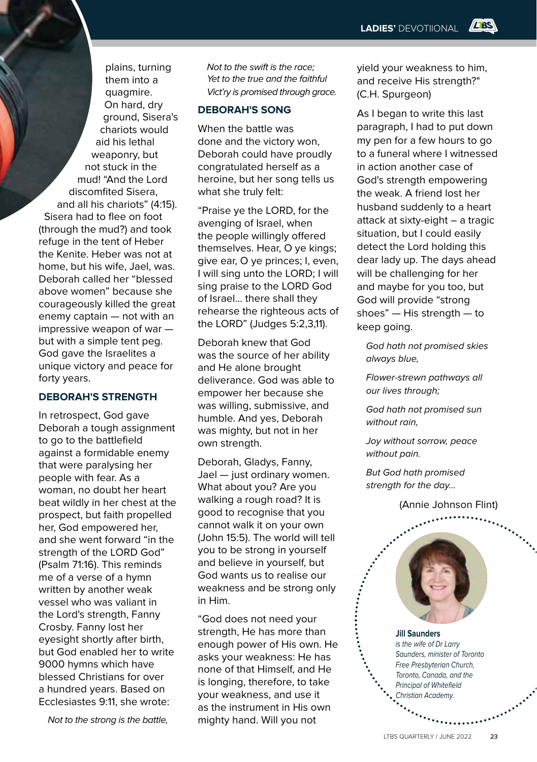plains, turning them into a quagmire. On hard, dry ground, Sisera's chariots would aid his lethal weaponry, but not stuck in the mud! "And the Lord discomfited Sisera, and all his chariots" (4:15). Sisera had to flee on foot (through the mud?) and took refuge in the tent of Heber the Kenite. Heber was not at home, but his wife, Jael, was. Deborah called her "blessed above women" because she courageously killed the great enemy captain — not with an impressive weapon of war but with a simple tent peg. God gave the Israelites a unique victory and peace for forty years.

#### **DEBORAH'S STRENGTH**

In retrospect, God gave Deborah a tough assignment to go to the battlefield against a formidable enemy that were paralysing her people with fear. As a woman, no doubt her heart beat wildly in her chest at the prospect, but faith propelled her, God empowered her, and she went forward "in the strength of the LORD God" (Psalm 71:16). This reminds me of a verse of a hymn written by another weak vessel who was valiant in the Lord's strength, Fanny Crosby. Fanny lost her eyesight shortly after birth, but God enabled her to write 9000 hymns which have blessed Christians for over a hundred years. Based on Ecclesiastes 9:11, she wrote:

*Not to the strong is the battle,*

*Not to the swift is the race; Yet to the true and the faithful Vict'ry is promised through grace.*

#### **DEBORAH'S SONG**

When the battle was done and the victory won, Deborah could have proudly congratulated herself as a heroine, but her song tells us what she truly felt:

"Praise ye the LORD, for the avenging of Israel, when the people willingly offered themselves. Hear, O ye kings; give ear, O ye princes; I, even, I will sing unto the LORD; I will sing praise to the LORD God of Israel... there shall they rehearse the righteous acts of the LORD" (Judges 5:2,3,11).

Deborah knew that God was the source of her ability and He alone brought deliverance. God was able to empower her because she was willing, submissive, and humble. And yes, Deborah was mighty, but not in her own strength.

Deborah, Gladys, Fanny, Jael — just ordinary women. What about you? Are you walking a rough road? It is good to recognise that you cannot walk it on your own (John 15:5). The world will tell you to be strong in yourself and believe in yourself, but God wants us to realise our weakness and be strong only in Him.

"God does not need your strength, He has more than enough power of His own. He asks your weakness: He has none of that Himself, and He is longing, therefore, to take your weakness, and use it as the instrument in His own mighty hand. Will you not

yield your weakness to him, and receive His strength?" (C.H. Spurgeon)

**LES** 

As I began to write this last paragraph, I had to put down my pen for a few hours to go to a funeral where I witnessed in action another case of God's strength empowering the weak. A friend lost her husband suddenly to a heart attack at sixty-eight – a tragic situation, but I could easily detect the Lord holding this dear lady up. The days ahead will be challenging for her and maybe for you too, but God will provide "strong shoes" — His strength — to keep going.

*God hath not promised skies always blue,*

*Flower-strewn pathways all our lives through;*

*God hath not promised sun without rain,*

*Joy without sorrow, peace without pain.*

*But God hath promised strength for the day...*

(Annie Johnson Flint)



**Jill Saunders** *is the wife of Dr Larry Saunders, minister of Toronto Free Presbyterian Church, Toronto, Canada, and the Principal of Whitefield Christian Academy.*